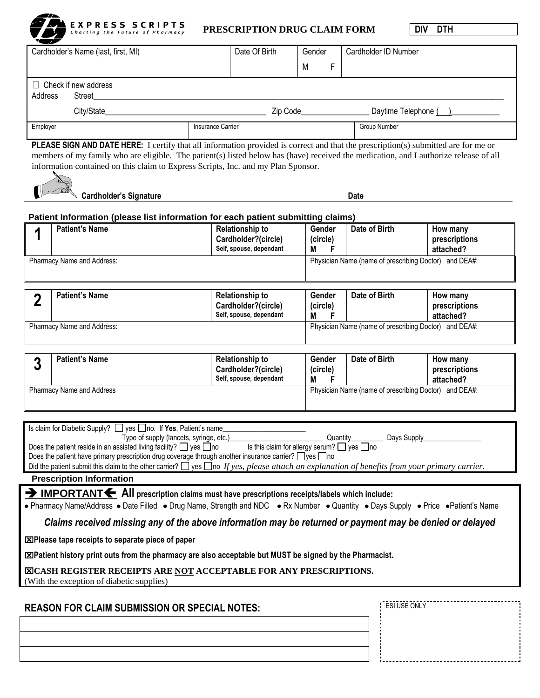

 $^{\prime\prime}$ 

### **PRESCRIPTION DRUG CLAIM FORM DIV DTH**

|                                                                      | Cardholder's Name (last, first, MI)                                                                                                                                                    | Date Of Birth                                  | Gender                                                | Cardholder ID Number                                  |                            |  |
|----------------------------------------------------------------------|----------------------------------------------------------------------------------------------------------------------------------------------------------------------------------------|------------------------------------------------|-------------------------------------------------------|-------------------------------------------------------|----------------------------|--|
|                                                                      |                                                                                                                                                                                        |                                                | F<br>M                                                |                                                       |                            |  |
|                                                                      | $\Box$ Check if new address                                                                                                                                                            |                                                |                                                       |                                                       |                            |  |
| Address                                                              | Street                                                                                                                                                                                 |                                                |                                                       |                                                       |                            |  |
|                                                                      |                                                                                                                                                                                        |                                                |                                                       |                                                       |                            |  |
| Employer                                                             |                                                                                                                                                                                        | Insurance Carrier                              |                                                       |                                                       | <b>Group Number</b>        |  |
|                                                                      | <b>PLEASE SIGN AND DATE HERE:</b> I certify that all information provided is correct and that the prescription(s) submitted are for me or                                              |                                                |                                                       |                                                       |                            |  |
|                                                                      | members of my family who are eligible. The patient(s) listed below has (have) received the medication, and I authorize release of all                                                  |                                                |                                                       |                                                       |                            |  |
|                                                                      | information contained on this claim to Express Scripts, Inc. and my Plan Sponsor.                                                                                                      |                                                |                                                       |                                                       |                            |  |
|                                                                      |                                                                                                                                                                                        |                                                |                                                       |                                                       |                            |  |
|                                                                      | <b>Cardholder's Signature</b>                                                                                                                                                          |                                                | Date                                                  |                                                       |                            |  |
|                                                                      | Patient Information (please list information for each patient submitting claims)                                                                                                       |                                                |                                                       |                                                       |                            |  |
| 1                                                                    | <b>Patient's Name</b>                                                                                                                                                                  | <b>Relationship to</b>                         | Gender                                                | Date of Birth                                         | How many                   |  |
|                                                                      |                                                                                                                                                                                        | Cardholder?(circle)<br>Self, spouse, dependant | (circle)<br>М<br>F                                    |                                                       | prescriptions<br>attached? |  |
|                                                                      | Pharmacy Name and Address:                                                                                                                                                             |                                                |                                                       | Physician Name (name of prescribing Doctor) and DEA#: |                            |  |
|                                                                      |                                                                                                                                                                                        |                                                |                                                       |                                                       |                            |  |
|                                                                      | <b>Patient's Name</b>                                                                                                                                                                  | <b>Relationship to</b>                         | Gender                                                | Date of Birth                                         | How many                   |  |
| $\mathbf 2$                                                          |                                                                                                                                                                                        | Cardholder?(circle)                            | (circle)                                              |                                                       | prescriptions              |  |
|                                                                      |                                                                                                                                                                                        | Self, spouse, dependant                        | М<br>F                                                |                                                       | attached?                  |  |
|                                                                      | Pharmacy Name and Address:                                                                                                                                                             |                                                |                                                       | Physician Name (name of prescribing Doctor) and DEA#: |                            |  |
|                                                                      |                                                                                                                                                                                        |                                                |                                                       |                                                       |                            |  |
| 3                                                                    | <b>Patient's Name</b>                                                                                                                                                                  | <b>Relationship to</b>                         | Gender                                                | Date of Birth                                         | How many                   |  |
|                                                                      |                                                                                                                                                                                        | Cardholder?(circle)<br>Self, spouse, dependant | (circle)<br>F<br>M                                    |                                                       | prescriptions<br>attached? |  |
| Pharmacy Name and Address                                            |                                                                                                                                                                                        |                                                | Physician Name (name of prescribing Doctor) and DEA#: |                                                       |                            |  |
|                                                                      |                                                                                                                                                                                        |                                                |                                                       |                                                       |                            |  |
|                                                                      |                                                                                                                                                                                        |                                                |                                                       |                                                       |                            |  |
|                                                                      | Is claim for Diabetic Supply? [J] yes   no. If Yes, Patient's name<br>Type of supply (lancets, syringe, etc.)_                                                                         |                                                | Quantity_                                             | Days Supply                                           |                            |  |
|                                                                      | Does the patient reside in an assisted living facility? $\Box$ yes $\Box$ no<br>Does the patient have primary prescription drug coverage through another insurance carrier? □ yes □ no | Is this claim for allergy serum? □ yes □no     |                                                       |                                                       |                            |  |
|                                                                      | Did the patient submit this claim to the other carrier? $\Box$ yes $\Box$ no If yes, please attach an explanation of benefits from your primary carrier.                               |                                                |                                                       |                                                       |                            |  |
|                                                                      | <b>Prescription Information</b>                                                                                                                                                        |                                                |                                                       |                                                       |                            |  |
|                                                                      | > IMPORTANT < All prescription claims must have prescriptions receipts/labels which include:                                                                                           |                                                |                                                       |                                                       |                            |  |
|                                                                      | • Pharmacy Name/Address • Date Filled • Drug Name, Strength and NDC • Rx Number • Quantity • Days Supply • Price • Patient's Name                                                      |                                                |                                                       |                                                       |                            |  |
|                                                                      | Claims received missing any of the above information may be returned or payment may be denied or delayed                                                                               |                                                |                                                       |                                                       |                            |  |
|                                                                      | ⊠Please tape receipts to separate piece of paper                                                                                                                                       |                                                |                                                       |                                                       |                            |  |
|                                                                      | ⊠Patient history print outs from the pharmacy are also acceptable but MUST be signed by the Pharmacist.                                                                                |                                                |                                                       |                                                       |                            |  |
|                                                                      | <b>EICASH REGISTER RECEIPTS ARE NOT ACCEPTABLE FOR ANY PRESCRIPTIONS.</b>                                                                                                              |                                                |                                                       |                                                       |                            |  |
|                                                                      | (With the exception of diabetic supplies)                                                                                                                                              |                                                |                                                       |                                                       |                            |  |
|                                                                      |                                                                                                                                                                                        |                                                |                                                       |                                                       |                            |  |
| ESI USE ONLY<br><b>REASON FOR CLAIM SUBMISSION OR SPECIAL NOTES:</b> |                                                                                                                                                                                        |                                                |                                                       |                                                       |                            |  |
|                                                                      |                                                                                                                                                                                        |                                                |                                                       |                                                       |                            |  |
|                                                                      |                                                                                                                                                                                        |                                                |                                                       |                                                       |                            |  |
|                                                                      |                                                                                                                                                                                        |                                                |                                                       |                                                       |                            |  |
|                                                                      |                                                                                                                                                                                        |                                                |                                                       |                                                       |                            |  |